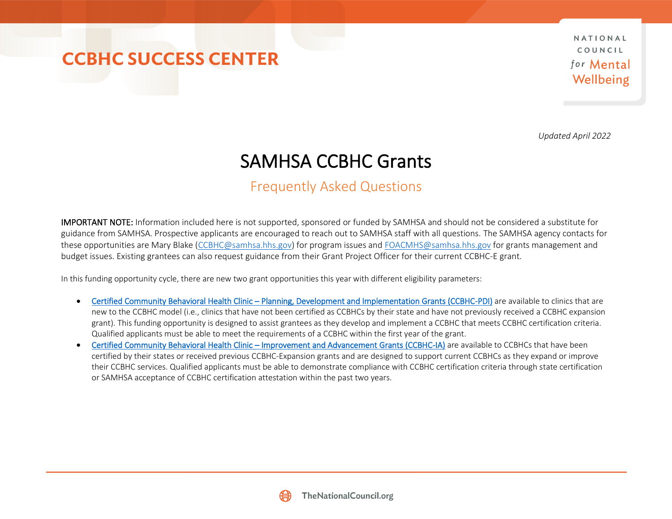NATIONAL COUNCIL for Mental Wellbeing

*Updated April 2022*

#### SAMHSA CCBHC Grants

#### Frequently Asked Questions

IMPORTANT NOTE: Information included here is not supported, sponsored or funded by SAMHSA and should not be considered a substitute for guidance from SAMHSA. Prospective applicants are encouraged to reach out to SAMHSA staff with all questions. The SAMHSA agency contacts for these opportunities are Mary Blake [\(CCBHC@samhsa.hhs.gov\)](mailto:CCBHC@samhsa.hhs.gov) for program issues and [FOACMHS@samhsa.hhs.gov](mailto:FOACMHS@samhsa.hhs.gov) for grants management and budget issues. Existing grantees can also request guidance from their Grant Project Officer for their current CCBHC-E grant.

In this funding opportunity cycle, there are new two grant opportunities this year with different eligibility parameters:

- Certified Community Behavioral Health Clinic – [Planning, Development and Implementation Grants \(CCBHC-PDI\)](https://go.thenationalcouncil.org/NzczLU1KRi0zNzkAAAGDUj4iCrN_ogTRqL4d24D0Y8VfaMltgteGnkmsQfYf3HmpwtoU1qPta6tIEDF2I6zXYI101mw=) are available to clinics that are new to the CCBHC model (i.e., clinics that have not been certified as CCBHCs by their state and have not previously received a CCBHC expansion grant). This funding opportunity is designed to assist grantees as they develop and implement a CCBHC that meets CCBHC certification criteria. Qualified applicants must be able to meet the requirements of a CCBHC within the first year of the grant.
- Certified Community Behavioral Health Clinic – [Improvement and Advancement Grants \(CCBHC-IA\)](https://go.thenationalcouncil.org/NzczLU1KRi0zNzkAAAGDUj4iCop5w0iqQDg2kEHU6_KjLGufXtQ3t0sXIAil0_1rbmv52beWtShdYroL-_--h-sZyJU=) are available to CCBHCs that have been certified by their states or received previous CCBHC-Expansion grants and are designed to support current CCBHCs as they expand or improve their CCBHC services. Qualified applicants must be able to demonstrate compliance with CCBHC certification criteria through state certification or SAMHSA acceptance of CCBHC certification attestation within the past two years.

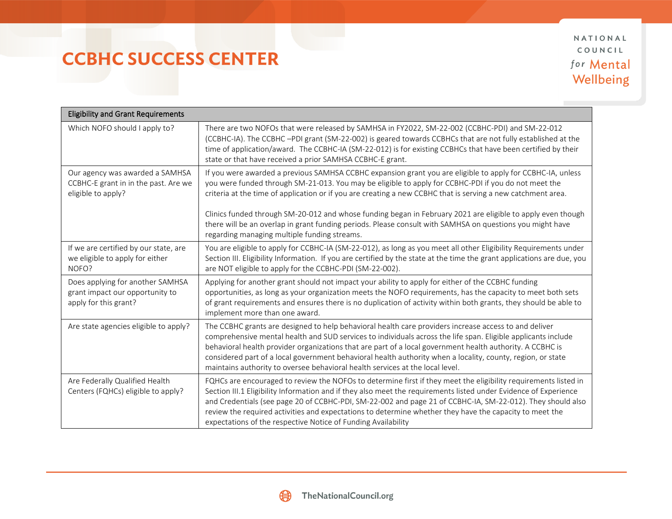| <b>Eligibility and Grant Requirements</b>                                                     |                                                                                                                                                                                                                                                                                                                                                                                                                                                                                                                                     |
|-----------------------------------------------------------------------------------------------|-------------------------------------------------------------------------------------------------------------------------------------------------------------------------------------------------------------------------------------------------------------------------------------------------------------------------------------------------------------------------------------------------------------------------------------------------------------------------------------------------------------------------------------|
| Which NOFO should I apply to?                                                                 | There are two NOFOs that were released by SAMHSA in FY2022, SM-22-002 (CCBHC-PDI) and SM-22-012<br>(CCBHC-IA). The CCBHC-PDI grant (SM-22-002) is geared towards CCBHCs that are not fully established at the<br>time of application/award. The CCBHC-IA (SM-22-012) is for existing CCBHCs that have been certified by their<br>state or that have received a prior SAMHSA CCBHC-E grant.                                                                                                                                          |
| Our agency was awarded a SAMHSA<br>CCBHC-E grant in in the past. Are we<br>eligible to apply? | If you were awarded a previous SAMHSA CCBHC expansion grant you are eligible to apply for CCBHC-IA, unless<br>you were funded through SM-21-013. You may be eligible to apply for CCBHC-PDI if you do not meet the<br>criteria at the time of application or if you are creating a new CCBHC that is serving a new catchment area.                                                                                                                                                                                                  |
|                                                                                               | Clinics funded through SM-20-012 and whose funding began in February 2021 are eligible to apply even though<br>there will be an overlap in grant funding periods. Please consult with SAMHSA on questions you might have<br>regarding managing multiple funding streams.                                                                                                                                                                                                                                                            |
| If we are certified by our state, are<br>we eligible to apply for either<br>NOFO?             | You are eligible to apply for CCBHC-IA (SM-22-012), as long as you meet all other Eligibility Requirements under<br>Section III. Eligibility Information. If you are certified by the state at the time the grant applications are due, you<br>are NOT eligible to apply for the CCBHC-PDI (SM-22-002).                                                                                                                                                                                                                             |
| Does applying for another SAMHSA<br>grant impact our opportunity to<br>apply for this grant?  | Applying for another grant should not impact your ability to apply for either of the CCBHC funding<br>opportunities, as long as your organization meets the NOFO requirements, has the capacity to meet both sets<br>of grant requirements and ensures there is no duplication of activity within both grants, they should be able to<br>implement more than one award.                                                                                                                                                             |
| Are state agencies eligible to apply?                                                         | The CCBHC grants are designed to help behavioral health care providers increase access to and deliver<br>comprehensive mental health and SUD services to individuals across the life span. Eligible applicants include<br>behavioral health provider organizations that are part of a local government health authority. A CCBHC is<br>considered part of a local government behavioral health authority when a locality, county, region, or state<br>maintains authority to oversee behavioral health services at the local level. |
| Are Federally Qualified Health<br>Centers (FQHCs) eligible to apply?                          | FQHCs are encouraged to review the NOFOs to determine first if they meet the eligibility requirements listed in<br>Section III.1 Eligibility Information and if they also meet the requirements listed under Evidence of Experience<br>and Credentials (see page 20 of CCBHC-PDI, SM-22-002 and page 21 of CCBHC-IA, SM-22-012). They should also<br>review the required activities and expectations to determine whether they have the capacity to meet the<br>expectations of the respective Notice of Funding Availability       |

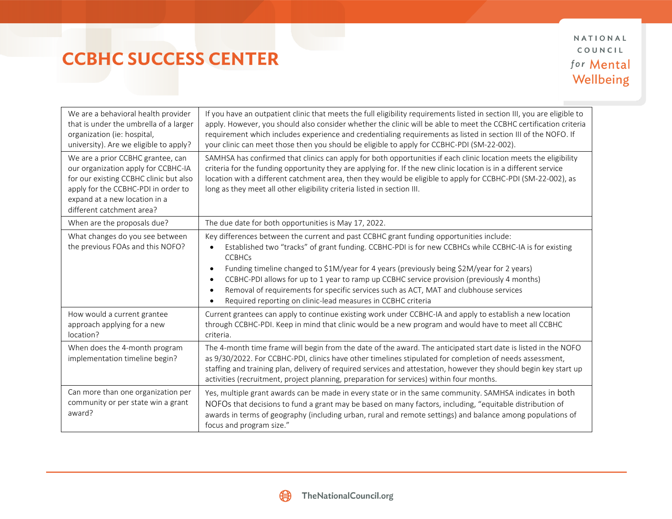| We are a behavioral health provider<br>that is under the umbrella of a larger<br>organization (ie: hospital,<br>university). Are we eligible to apply?                                                                  | If you have an outpatient clinic that meets the full eligibility requirements listed in section III, you are eligible to<br>apply. However, you should also consider whether the clinic will be able to meet the CCBHC certification criteria<br>requirement which includes experience and credentialing requirements as listed in section III of the NOFO. If<br>your clinic can meet those then you should be eligible to apply for CCBHC-PDI (SM-22-002).                                                                                                                                                  |
|-------------------------------------------------------------------------------------------------------------------------------------------------------------------------------------------------------------------------|---------------------------------------------------------------------------------------------------------------------------------------------------------------------------------------------------------------------------------------------------------------------------------------------------------------------------------------------------------------------------------------------------------------------------------------------------------------------------------------------------------------------------------------------------------------------------------------------------------------|
| We are a prior CCBHC grantee, can<br>our organization apply for CCBHC-IA<br>for our existing CCBHC clinic but also<br>apply for the CCBHC-PDI in order to<br>expand at a new location in a<br>different catchment area? | SAMHSA has confirmed that clinics can apply for both opportunities if each clinic location meets the eligibility<br>criteria for the funding opportunity they are applying for. If the new clinic location is in a different service<br>location with a different catchment area, then they would be eligible to apply for CCBHC-PDI (SM-22-002), as<br>long as they meet all other eligibility criteria listed in section III.                                                                                                                                                                               |
| When are the proposals due?                                                                                                                                                                                             | The due date for both opportunities is May 17, 2022.                                                                                                                                                                                                                                                                                                                                                                                                                                                                                                                                                          |
| What changes do you see between<br>the previous FOAs and this NOFO?                                                                                                                                                     | Key differences between the current and past CCBHC grant funding opportunities include:<br>Established two "tracks" of grant funding. CCBHC-PDI is for new CCBHCs while CCBHC-IA is for existing<br><b>CCBHCs</b><br>Funding timeline changed to \$1M/year for 4 years (previously being \$2M/year for 2 years)<br>$\bullet$<br>CCBHC-PDI allows for up to 1 year to ramp up CCBHC service provision (previously 4 months)<br>$\bullet$<br>Removal of requirements for specific services such as ACT, MAT and clubhouse services<br>$\bullet$<br>Required reporting on clinic-lead measures in CCBHC criteria |
| How would a current grantee<br>approach applying for a new<br>location?                                                                                                                                                 | Current grantees can apply to continue existing work under CCBHC-IA and apply to establish a new location<br>through CCBHC-PDI. Keep in mind that clinic would be a new program and would have to meet all CCBHC<br>criteria.                                                                                                                                                                                                                                                                                                                                                                                 |
| When does the 4-month program<br>implementation timeline begin?                                                                                                                                                         | The 4-month time frame will begin from the date of the award. The anticipated start date is listed in the NOFO<br>as 9/30/2022. For CCBHC-PDI, clinics have other timelines stipulated for completion of needs assessment,<br>staffing and training plan, delivery of required services and attestation, however they should begin key start up<br>activities (recruitment, project planning, preparation for services) within four months.                                                                                                                                                                   |
| Can more than one organization per<br>community or per state win a grant<br>award?                                                                                                                                      | Yes, multiple grant awards can be made in every state or in the same community. SAMHSA indicates in both<br>NOFOs that decisions to fund a grant may be based on many factors, including, "equitable distribution of<br>awards in terms of geography (including urban, rural and remote settings) and balance among populations of<br>focus and program size."                                                                                                                                                                                                                                                |

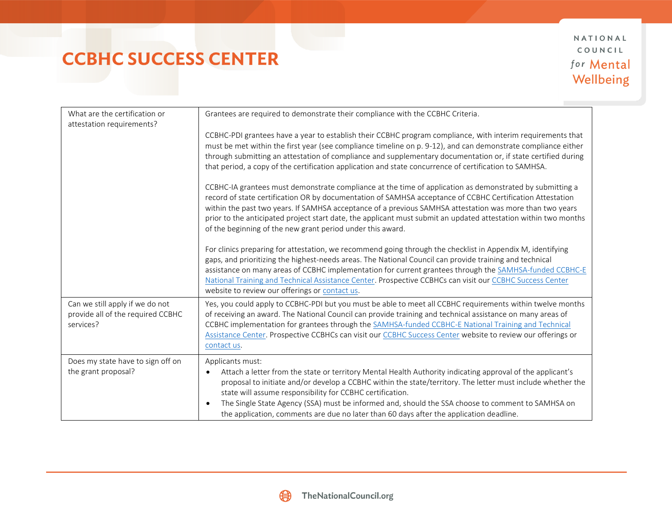| What are the certification or<br>attestation requirements?                        | Grantees are required to demonstrate their compliance with the CCBHC Criteria.                                                                                                                                                                                                                                                                                                                                                                                                                                                       |
|-----------------------------------------------------------------------------------|--------------------------------------------------------------------------------------------------------------------------------------------------------------------------------------------------------------------------------------------------------------------------------------------------------------------------------------------------------------------------------------------------------------------------------------------------------------------------------------------------------------------------------------|
|                                                                                   | CCBHC-PDI grantees have a year to establish their CCBHC program compliance, with interim requirements that<br>must be met within the first year (see compliance timeline on p. 9-12), and can demonstrate compliance either<br>through submitting an attestation of compliance and supplementary documentation or, if state certified during<br>that period, a copy of the certification application and state concurrence of certification to SAMHSA.                                                                               |
|                                                                                   | CCBHC-IA grantees must demonstrate compliance at the time of application as demonstrated by submitting a<br>record of state certification OR by documentation of SAMHSA acceptance of CCBHC Certification Attestation<br>within the past two years. If SAMHSA acceptance of a previous SAMHSA attestation was more than two years<br>prior to the anticipated project start date, the applicant must submit an updated attestation within two months<br>of the beginning of the new grant period under this award.                   |
|                                                                                   | For clinics preparing for attestation, we recommend going through the checklist in Appendix M, identifying<br>gaps, and prioritizing the highest-needs areas. The National Council can provide training and technical<br>assistance on many areas of CCBHC implementation for current grantees through the SAMHSA-funded CCBHC-E<br>National Training and Technical Assistance Center. Prospective CCBHCs can visit our CCBHC Success Center<br>website to review our offerings or contact us.                                       |
| Can we still apply if we do not<br>provide all of the required CCBHC<br>services? | Yes, you could apply to CCBHC-PDI but you must be able to meet all CCBHC requirements within twelve months<br>of receiving an award. The National Council can provide training and technical assistance on many areas of<br>CCBHC implementation for grantees through the SAMHSA-funded CCBHC-E National Training and Technical<br>Assistance Center. Prospective CCBHCs can visit our CCBHC Success Center website to review our offerings or<br>contact us.                                                                        |
| Does my state have to sign off on<br>the grant proposal?                          | Applicants must:<br>Attach a letter from the state or territory Mental Health Authority indicating approval of the applicant's<br>$\bullet$<br>proposal to initiate and/or develop a CCBHC within the state/territory. The letter must include whether the<br>state will assume responsibility for CCBHC certification.<br>The Single State Agency (SSA) must be informed and, should the SSA choose to comment to SAMHSA on<br>$\bullet$<br>the application, comments are due no later than 60 days after the application deadline. |

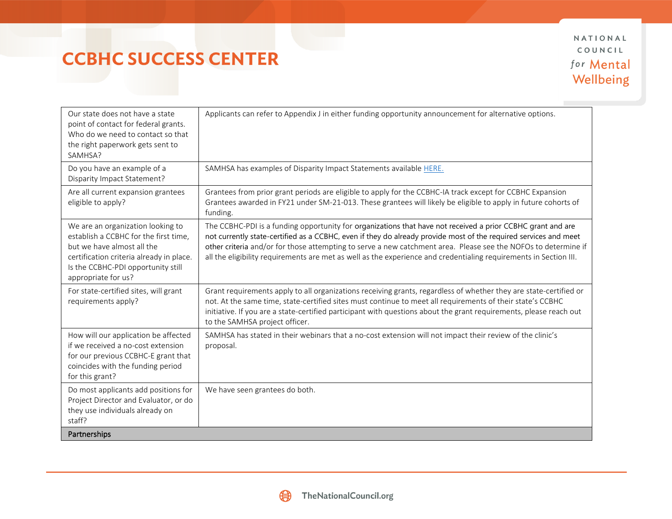| Our state does not have a state<br>point of contact for federal grants.<br>Who do we need to contact so that<br>the right paperwork gets sent to<br>SAMHSA?                                                       | Applicants can refer to Appendix J in either funding opportunity announcement for alternative options.                                                                                                                                                                                                                                                                                                                                                                 |
|-------------------------------------------------------------------------------------------------------------------------------------------------------------------------------------------------------------------|------------------------------------------------------------------------------------------------------------------------------------------------------------------------------------------------------------------------------------------------------------------------------------------------------------------------------------------------------------------------------------------------------------------------------------------------------------------------|
| Do you have an example of a<br>Disparity Impact Statement?                                                                                                                                                        | SAMHSA has examples of Disparity Impact Statements available HERE.                                                                                                                                                                                                                                                                                                                                                                                                     |
| Are all current expansion grantees<br>eligible to apply?                                                                                                                                                          | Grantees from prior grant periods are eligible to apply for the CCBHC-IA track except for CCBHC Expansion<br>Grantees awarded in FY21 under SM-21-013. These grantees will likely be eligible to apply in future cohorts of<br>funding.                                                                                                                                                                                                                                |
| We are an organization looking to<br>establish a CCBHC for the first time,<br>but we have almost all the<br>certification criteria already in place.<br>Is the CCBHC-PDI opportunity still<br>appropriate for us? | The CCBHC-PDI is a funding opportunity for organizations that have not received a prior CCBHC grant and are<br>not currently state-certified as a CCBHC, even if they do already provide most of the required services and meet<br>other criteria and/or for those attempting to serve a new catchment area. Please see the NOFOs to determine if<br>all the eligibility requirements are met as well as the experience and credentialing requirements in Section III. |
| For state-certified sites, will grant<br>requirements apply?                                                                                                                                                      | Grant requirements apply to all organizations receiving grants, regardless of whether they are state-certified or<br>not. At the same time, state-certified sites must continue to meet all requirements of their state's CCBHC<br>initiative. If you are a state-certified participant with questions about the grant requirements, please reach out<br>to the SAMHSA project officer.                                                                                |
| How will our application be affected<br>if we received a no-cost extension<br>for our previous CCBHC-E grant that<br>coincides with the funding period<br>for this grant?                                         | SAMHSA has stated in their webinars that a no-cost extension will not impact their review of the clinic's<br>proposal.                                                                                                                                                                                                                                                                                                                                                 |
| Do most applicants add positions for<br>Project Director and Evaluator, or do<br>they use individuals already on<br>staff?                                                                                        | We have seen grantees do both.                                                                                                                                                                                                                                                                                                                                                                                                                                         |
| Partnerships                                                                                                                                                                                                      |                                                                                                                                                                                                                                                                                                                                                                                                                                                                        |

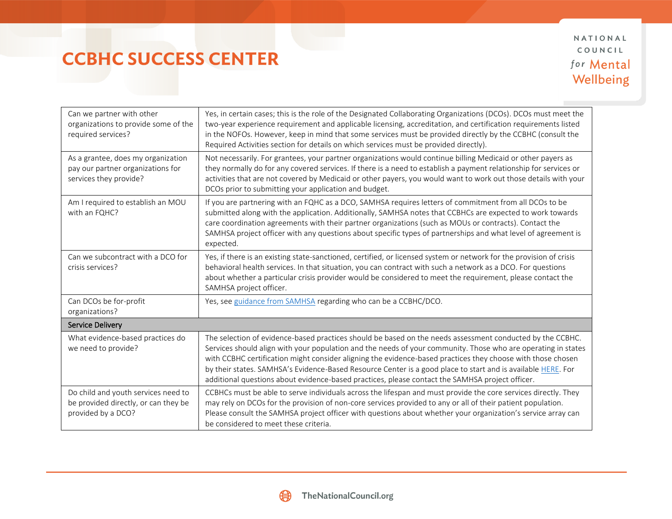| Can we partner with other<br>organizations to provide some of the<br>required services?           | Yes, in certain cases; this is the role of the Designated Collaborating Organizations (DCOs). DCOs must meet the<br>two-year experience requirement and applicable licensing, accreditation, and certification requirements listed<br>in the NOFOs. However, keep in mind that some services must be provided directly by the CCBHC (consult the<br>Required Activities section for details on which services must be provided directly).                                                                                                                    |
|---------------------------------------------------------------------------------------------------|--------------------------------------------------------------------------------------------------------------------------------------------------------------------------------------------------------------------------------------------------------------------------------------------------------------------------------------------------------------------------------------------------------------------------------------------------------------------------------------------------------------------------------------------------------------|
| As a grantee, does my organization<br>pay our partner organizations for<br>services they provide? | Not necessarily. For grantees, your partner organizations would continue billing Medicaid or other payers as<br>they normally do for any covered services. If there is a need to establish a payment relationship for services or<br>activities that are not covered by Medicaid or other payers, you would want to work out those details with your<br>DCOs prior to submitting your application and budget.                                                                                                                                                |
| Am I required to establish an MOU<br>with an FQHC?                                                | If you are partnering with an FQHC as a DCO, SAMHSA requires letters of commitment from all DCOs to be<br>submitted along with the application. Additionally, SAMHSA notes that CCBHCs are expected to work towards<br>care coordination agreements with their partner organizations (such as MOUs or contracts). Contact the<br>SAMHSA project officer with any questions about specific types of partnerships and what level of agreement is<br>expected.                                                                                                  |
| Can we subcontract with a DCO for<br>crisis services?                                             | Yes, if there is an existing state-sanctioned, certified, or licensed system or network for the provision of crisis<br>behavioral health services. In that situation, you can contract with such a network as a DCO. For questions<br>about whether a particular crisis provider would be considered to meet the requirement, please contact the<br>SAMHSA project officer.                                                                                                                                                                                  |
| Can DCOs be for-profit<br>organizations?                                                          | Yes, see guidance from SAMHSA regarding who can be a CCBHC/DCO.                                                                                                                                                                                                                                                                                                                                                                                                                                                                                              |
| Service Delivery                                                                                  |                                                                                                                                                                                                                                                                                                                                                                                                                                                                                                                                                              |
| What evidence-based practices do<br>we need to provide?                                           | The selection of evidence-based practices should be based on the needs assessment conducted by the CCBHC.<br>Services should align with your population and the needs of your community. Those who are operating in states<br>with CCBHC certification might consider aligning the evidence-based practices they choose with those chosen<br>by their states. SAMHSA's Evidence-Based Resource Center is a good place to start and is available HERE. For<br>additional questions about evidence-based practices, please contact the SAMHSA project officer. |
| Do child and youth services need to<br>be provided directly, or can they be<br>provided by a DCO? | CCBHCs must be able to serve individuals across the lifespan and must provide the core services directly. They<br>may rely on DCOs for the provision of non-core services provided to any or all of their patient population.<br>Please consult the SAMHSA project officer with questions about whether your organization's service array can<br>be considered to meet these criteria.                                                                                                                                                                       |

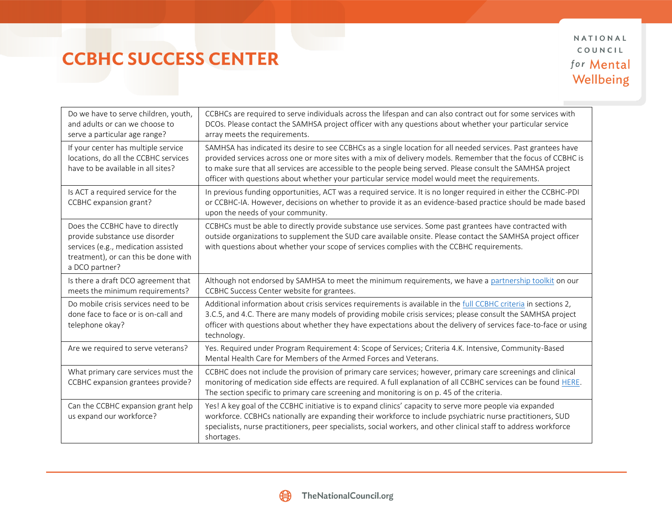| Do we have to serve children, youth,<br>and adults or can we choose to<br>serve a particular age range?                                                            | CCBHCs are required to serve individuals across the lifespan and can also contract out for some services with<br>DCOs. Please contact the SAMHSA project officer with any questions about whether your particular service<br>array meets the requirements.                                                                                                                                                                                        |
|--------------------------------------------------------------------------------------------------------------------------------------------------------------------|---------------------------------------------------------------------------------------------------------------------------------------------------------------------------------------------------------------------------------------------------------------------------------------------------------------------------------------------------------------------------------------------------------------------------------------------------|
| If your center has multiple service<br>locations, do all the CCBHC services<br>have to be available in all sites?                                                  | SAMHSA has indicated its desire to see CCBHCs as a single location for all needed services. Past grantees have<br>provided services across one or more sites with a mix of delivery models. Remember that the focus of CCBHC is<br>to make sure that all services are accessible to the people being served. Please consult the SAMHSA project<br>officer with questions about whether your particular service model would meet the requirements. |
| Is ACT a required service for the<br>CCBHC expansion grant?                                                                                                        | In previous funding opportunities, ACT was a required service. It is no longer required in either the CCBHC-PDI<br>or CCBHC-IA. However, decisions on whether to provide it as an evidence-based practice should be made based<br>upon the needs of your community.                                                                                                                                                                               |
| Does the CCBHC have to directly<br>provide substance use disorder<br>services (e.g., medication assisted<br>treatment), or can this be done with<br>a DCO partner? | CCBHCs must be able to directly provide substance use services. Some past grantees have contracted with<br>outside organizations to supplement the SUD care available onsite. Please contact the SAMHSA project officer<br>with questions about whether your scope of services complies with the CCBHC requirements.                                                                                                                              |
| Is there a draft DCO agreement that<br>meets the minimum requirements?                                                                                             | Although not endorsed by SAMHSA to meet the minimum requirements, we have a partnership toolkit on our<br>CCBHC Success Center website for grantees.                                                                                                                                                                                                                                                                                              |
| Do mobile crisis services need to be<br>done face to face or is on-call and<br>telephone okay?                                                                     | Additional information about crisis services requirements is available in the full CCBHC criteria in sections 2,<br>3.C.5, and 4.C. There are many models of providing mobile crisis services; please consult the SAMHSA project<br>officer with questions about whether they have expectations about the delivery of services face-to-face or using<br>technology.                                                                               |
| Are we required to serve veterans?                                                                                                                                 | Yes. Required under Program Requirement 4: Scope of Services; Criteria 4.K. Intensive, Community-Based<br>Mental Health Care for Members of the Armed Forces and Veterans.                                                                                                                                                                                                                                                                        |
| What primary care services must the<br>CCBHC expansion grantees provide?                                                                                           | CCBHC does not include the provision of primary care services; however, primary care screenings and clinical<br>monitoring of medication side effects are required. A full explanation of all CCBHC services can be found HERE.<br>The section specific to primary care screening and monitoring is on p. 45 of the criteria.                                                                                                                     |
| Can the CCBHC expansion grant help<br>us expand our workforce?                                                                                                     | Yes! A key goal of the CCBHC initiative is to expand clinics' capacity to serve more people via expanded<br>workforce. CCBHCs nationally are expanding their workforce to include psychiatric nurse practitioners, SUD<br>specialists, nurse practitioners, peer specialists, social workers, and other clinical staff to address workforce<br>shortages.                                                                                         |

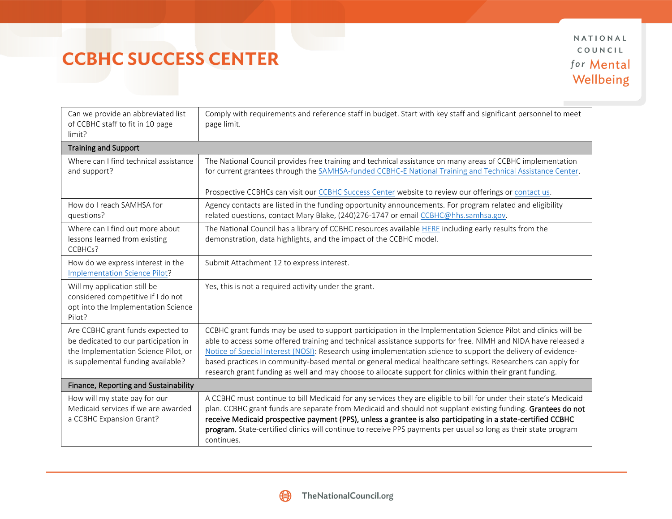| Can we provide an abbreviated list<br>of CCBHC staff to fit in 10 page<br>limit?                                                                        | Comply with requirements and reference staff in budget. Start with key staff and significant personnel to meet<br>page limit.                                                                                                                                                                                                                                                                                                                                                                                                                                                 |
|---------------------------------------------------------------------------------------------------------------------------------------------------------|-------------------------------------------------------------------------------------------------------------------------------------------------------------------------------------------------------------------------------------------------------------------------------------------------------------------------------------------------------------------------------------------------------------------------------------------------------------------------------------------------------------------------------------------------------------------------------|
| <b>Training and Support</b>                                                                                                                             |                                                                                                                                                                                                                                                                                                                                                                                                                                                                                                                                                                               |
| Where can I find technical assistance<br>and support?                                                                                                   | The National Council provides free training and technical assistance on many areas of CCBHC implementation<br>for current grantees through the SAMHSA-funded CCBHC-E National Training and Technical Assistance Center.<br>Prospective CCBHCs can visit our CCBHC Success Center website to review our offerings or contact us.                                                                                                                                                                                                                                               |
| How do I reach SAMHSA for<br>questions?                                                                                                                 | Agency contacts are listed in the funding opportunity announcements. For program related and eligibility<br>related questions, contact Mary Blake, (240)276-1747 or email CCBHC@hhs.samhsa.gov.                                                                                                                                                                                                                                                                                                                                                                               |
| Where can I find out more about<br>lessons learned from existing<br>CCBHCs?                                                                             | The National Council has a library of CCBHC resources available HERE including early results from the<br>demonstration, data highlights, and the impact of the CCBHC model.                                                                                                                                                                                                                                                                                                                                                                                                   |
| How do we express interest in the<br><b>Implementation Science Pilot?</b>                                                                               | Submit Attachment 12 to express interest.                                                                                                                                                                                                                                                                                                                                                                                                                                                                                                                                     |
| Will my application still be<br>considered competitive if I do not<br>opt into the Implementation Science<br>Pilot?                                     | Yes, this is not a required activity under the grant.                                                                                                                                                                                                                                                                                                                                                                                                                                                                                                                         |
| Are CCBHC grant funds expected to<br>be dedicated to our participation in<br>the Implementation Science Pilot, or<br>is supplemental funding available? | CCBHC grant funds may be used to support participation in the Implementation Science Pilot and clinics will be<br>able to access some offered training and technical assistance supports for free. NIMH and NIDA have released a<br>Notice of Special Interest (NOSI): Research using implementation science to support the delivery of evidence-<br>based practices in community-based mental or general medical healthcare settings. Researchers can apply for<br>research grant funding as well and may choose to allocate support for clinics within their grant funding. |
| Finance, Reporting and Sustainability                                                                                                                   |                                                                                                                                                                                                                                                                                                                                                                                                                                                                                                                                                                               |
| How will my state pay for our<br>Medicaid services if we are awarded<br>a CCBHC Expansion Grant?                                                        | A CCBHC must continue to bill Medicaid for any services they are eligible to bill for under their state's Medicaid<br>plan. CCBHC grant funds are separate from Medicaid and should not supplant existing funding. Grantees do not<br>receive Medicaid prospective payment (PPS), unless a grantee is also participating in a state-certified CCBHC<br>program. State-certified clinics will continue to receive PPS payments per usual so long as their state program<br>continues.                                                                                          |

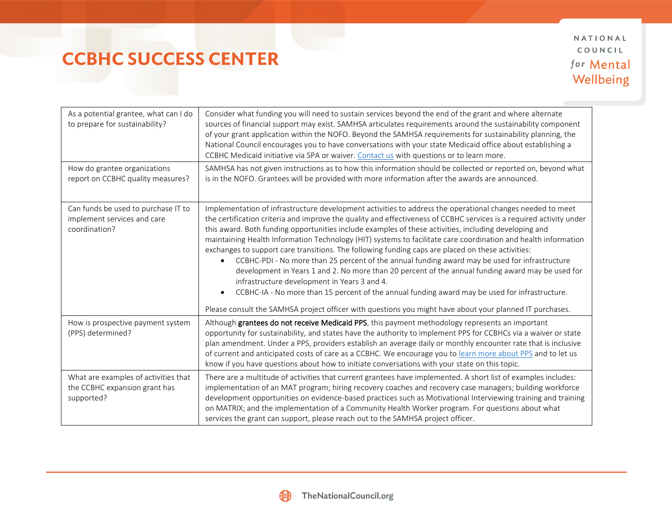| As a potential grantee, what can I do<br>to prepare for sustainability?             | Consider what funding you will need to sustain services beyond the end of the grant and where alternate<br>sources of financial support may exist. SAMHSA articulates requirements around the sustainability component<br>of your grant application within the NOFO. Beyond the SAMHSA requirements for sustainability planning, the<br>National Council encourages you to have conversations with your state Medicaid office about establishing a<br>CCBHC Medicaid initiative via SPA or waiver. Contact us with questions or to learn more.                                                                                                                                                                                                                                                                                                                                                                                                                                                                                                                  |
|-------------------------------------------------------------------------------------|-----------------------------------------------------------------------------------------------------------------------------------------------------------------------------------------------------------------------------------------------------------------------------------------------------------------------------------------------------------------------------------------------------------------------------------------------------------------------------------------------------------------------------------------------------------------------------------------------------------------------------------------------------------------------------------------------------------------------------------------------------------------------------------------------------------------------------------------------------------------------------------------------------------------------------------------------------------------------------------------------------------------------------------------------------------------|
| How do grantee organizations<br>report on CCBHC quality measures?                   | SAMHSA has not given instructions as to how this information should be collected or reported on, beyond what<br>is in the NOFO. Grantees will be provided with more information after the awards are announced.                                                                                                                                                                                                                                                                                                                                                                                                                                                                                                                                                                                                                                                                                                                                                                                                                                                 |
| Can funds be used to purchase IT to<br>implement services and care<br>coordination? | Implementation of infrastructure development activities to address the operational changes needed to meet<br>the certification criteria and improve the quality and effectiveness of CCBHC services is a required activity under<br>this award. Both funding opportunities include examples of these activities, including developing and<br>maintaining Health Information Technology (HIT) systems to facilitate care coordination and health information<br>exchanges to support care transitions. The following funding caps are placed on these activities:<br>CCBHC-PDI - No more than 25 percent of the annual funding award may be used for infrastructure<br>$\bullet$<br>development in Years 1 and 2. No more than 20 percent of the annual funding award may be used for<br>infrastructure development in Years 3 and 4.<br>CCBHC-IA - No more than 15 percent of the annual funding award may be used for infrastructure.<br>$\bullet$<br>Please consult the SAMHSA project officer with questions you might have about your planned IT purchases. |
| How is prospective payment system<br>(PPS) determined?                              | Although grantees do not receive Medicaid PPS, this payment methodology represents an important<br>opportunity for sustainability, and states have the authority to implement PPS for CCBHCs via a waiver or state<br>plan amendment. Under a PPS, providers establish an average daily or monthly encounter rate that is inclusive<br>of current and anticipated costs of care as a CCBHC. We encourage you to learn more about PPS and to let us<br>know if you have questions about how to initiate conversations with your state on this topic.                                                                                                                                                                                                                                                                                                                                                                                                                                                                                                             |
| What are examples of activities that<br>the CCBHC expansion grant has<br>supported? | There are a multitude of activities that current grantees have implemented. A short list of examples includes:<br>implementation of an MAT program; hiring recovery coaches and recovery case managers; building workforce<br>development opportunities on evidence-based practices such as Motivational Interviewing training and training<br>on MATRIX; and the implementation of a Community Health Worker program. For questions about what<br>services the grant can support, please reach out to the SAMHSA project officer.                                                                                                                                                                                                                                                                                                                                                                                                                                                                                                                              |